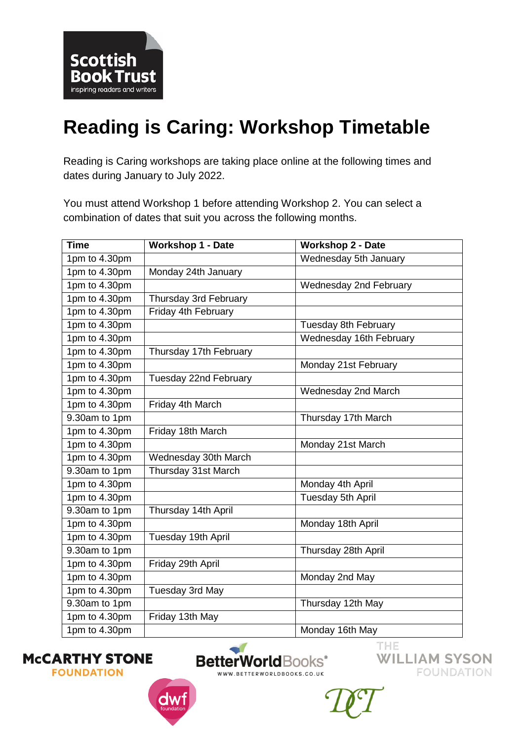

## **Reading is Caring: Workshop Timetable**

Reading is Caring workshops are taking place online at the following times and dates during January to July 2022.

You must attend Workshop 1 before attending Workshop 2. You can select a combination of dates that suit you across the following months.

| <b>Time</b>                 | <b>Workshop 1 - Date</b> | <b>Workshop 2 - Date</b>      |
|-----------------------------|--------------------------|-------------------------------|
| 1pm to 4.30pm               |                          | Wednesday 5th January         |
| 1pm to 4.30pm               | Monday 24th January      |                               |
| 1pm to 4.30pm               |                          | <b>Wednesday 2nd February</b> |
| 1pm to 4.30pm               | Thursday 3rd February    |                               |
| 1pm to 4.30pm               | Friday 4th February      |                               |
| 1pm to 4.30pm               |                          | Tuesday 8th February          |
| 1pm to 4.30pm               |                          | Wednesday 16th February       |
| 1pm to 4.30pm               | Thursday 17th February   |                               |
| 1pm to 4.30pm               |                          | Monday 21st February          |
| 1pm to 4.30pm               | Tuesday 22nd February    |                               |
| 1pm to 4.30pm               |                          | Wednesday 2nd March           |
| 1pm to 4.30pm               | Friday 4th March         |                               |
| $\overline{9.30}$ am to 1pm |                          | Thursday 17th March           |
| 1pm to 4.30pm               | Friday 18th March        |                               |
| 1pm to 4.30pm               |                          | Monday 21st March             |
| 1pm to 4.30pm               | Wednesday 30th March     |                               |
| 9.30am to 1pm               | Thursday 31st March      |                               |
| 1pm to 4.30pm               |                          | Monday 4th April              |
| 1pm to 4.30pm               |                          | Tuesday 5th April             |
| 9.30am to 1pm               | Thursday 14th April      |                               |
| $1pm$ to 4.30pm             |                          | Monday 18th April             |
| 1pm to 4.30pm               | Tuesday 19th April       |                               |
| 9.30am to 1pm               |                          | Thursday 28th April           |
| 1pm to 4.30pm               | Friday 29th April        |                               |
| 1pm to 4.30pm               |                          | Monday 2nd May                |
| 1pm to 4.30pm               | Tuesday 3rd May          |                               |
| 9.30am to 1pm               |                          | Thursday 12th May             |
| 1pm to 4.30pm               | Friday 13th May          |                               |
| 1pm to 4.30pm               |                          | Monday 16th May               |

**MCCARTHY STONE FOUNDATION** 



**BetterWorldBooks**<sup>®</sup> WWW.BETTERWORLDBOOKS.CO.UK

THE **WILLIAM SYSON FOUNDATION**